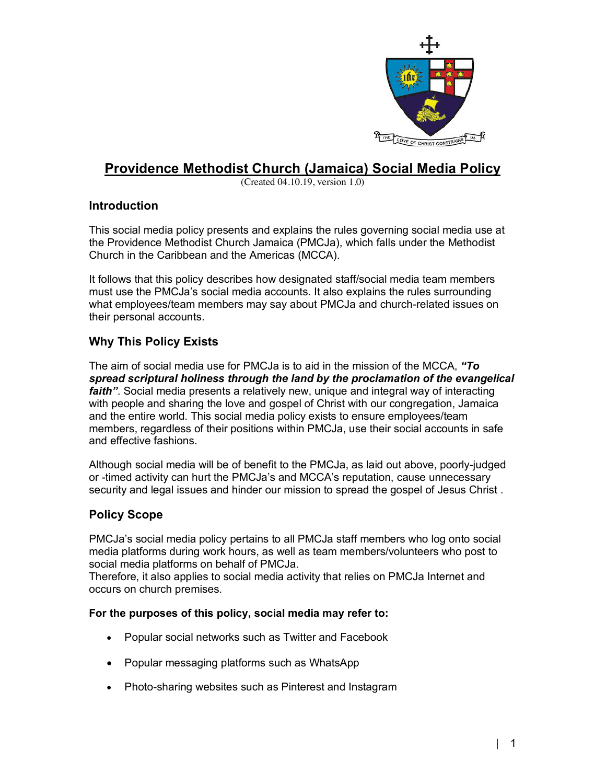

# **Providence Methodist Church (Jamaica) Social Media Policy**

(Created 04.10.19, version 1.0)

# **Introduction**

This social media policy presents and explains the rules governing social media use at the Providence Methodist Church Jamaica (PMCJa), which falls under the Methodist Church in the Caribbean and the Americas (MCCA).

It follows that this policy describes how designated staff/social media team members must use the PMCJa's social media accounts. It also explains the rules surrounding what employees/team members may say about PMCJa and church-related issues on their personal accounts.

# **Why This Policy Exists**

The aim of social media use for PMCJa is to aid in the mission of the MCCA, *"To spread scriptural holiness through the land by the proclamation of the evangelical faith"*. Social media presents a relatively new, unique and integral way of interacting with people and sharing the love and gospel of Christ with our congregation, Jamaica and the entire world. This social media policy exists to ensure employees/team members, regardless of their positions within PMCJa, use their social accounts in safe and effective fashions.

Although social media will be of benefit to the PMCJa, as laid out above, poorly-judged or -timed activity can hurt the PMCJa's and MCCA's reputation, cause unnecessary security and legal issues and hinder our mission to spread the gospel of Jesus Christ .

# **Policy Scope**

PMCJa's social media policy pertains to all PMCJa staff members who log onto social media platforms during work hours, as well as team members/volunteers who post to social media platforms on behalf of PMCJa.

Therefore, it also applies to social media activity that relies on PMCJa Internet and occurs on church premises.

## **For the purposes of this policy, social media may refer to:**

- Popular social networks such as Twitter and Facebook
- Popular messaging platforms such as WhatsApp
- Photo-sharing websites such as Pinterest and Instagram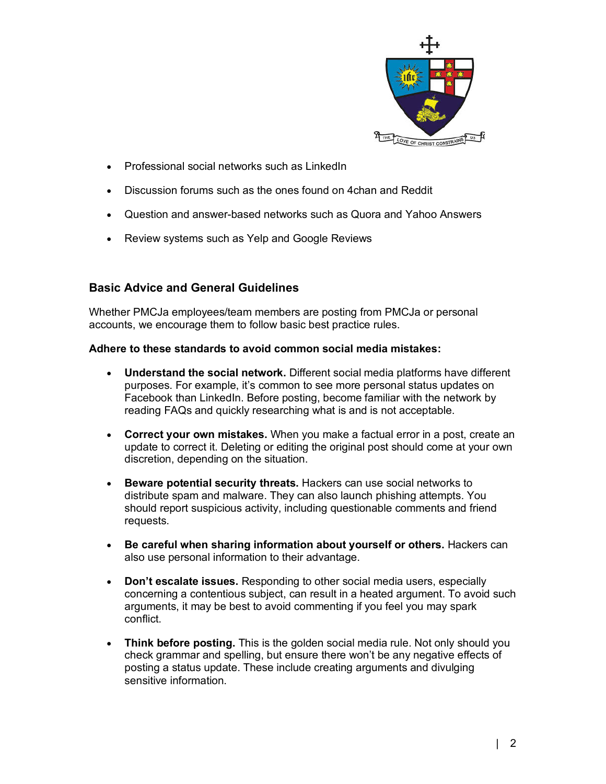

- Professional social networks such as LinkedIn
- Discussion forums such as the ones found on 4chan and Reddit
- Question and answer-based networks such as Quora and Yahoo Answers
- Review systems such as Yelp and Google Reviews

# **Basic Advice and General Guidelines**

Whether PMCJa employees/team members are posting from PMCJa or personal accounts, we encourage them to follow basic best practice rules.

## **Adhere to these standards to avoid common social media mistakes:**

- **Understand the social network.** Different social media platforms have different purposes. For example, it's common to see more personal status updates on Facebook than LinkedIn. Before posting, become familiar with the network by reading FAQs and quickly researching what is and is not acceptable.
- **Correct your own mistakes.** When you make a factual error in a post, create an update to correct it. Deleting or editing the original post should come at your own discretion, depending on the situation.
- **Beware potential security threats.** Hackers can use social networks to distribute spam and malware. They can also launch phishing attempts. You should report suspicious activity, including questionable comments and friend requests.
- **Be careful when sharing information about yourself or others.** Hackers can also use personal information to their advantage.
- **Don't escalate issues.** Responding to other social media users, especially concerning a contentious subject, can result in a heated argument. To avoid such arguments, it may be best to avoid commenting if you feel you may spark conflict.
- **Think before posting.** This is the golden social media rule. Not only should you check grammar and spelling, but ensure there won't be any negative effects of posting a status update. These include creating arguments and divulging sensitive information.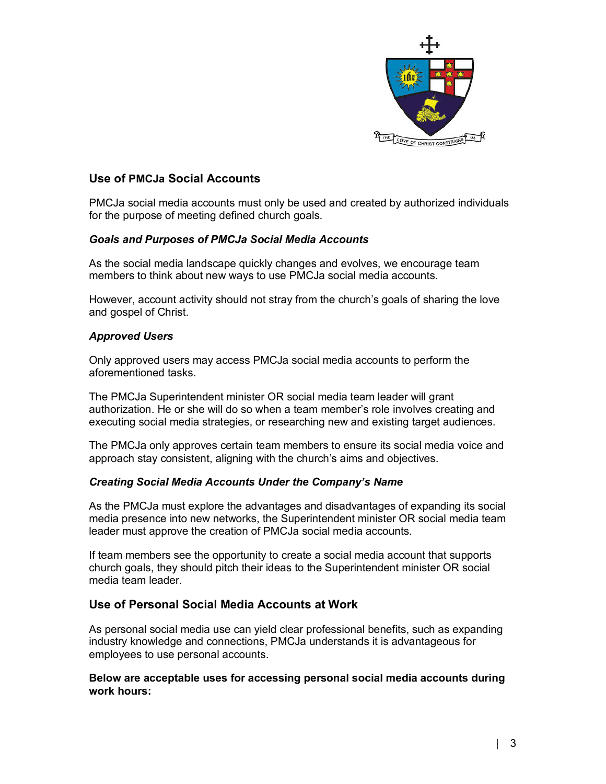

# **Use of PMCJa Social Accounts**

PMCJa social media accounts must only be used and created by authorized individuals for the purpose of meeting defined church goals.

## *Goals and Purposes of PMCJa Social Media Accounts*

As the social media landscape quickly changes and evolves, we encourage team members to think about new ways to use PMCJa social media accounts.

However, account activity should not stray from the church's goals of sharing the love and gospel of Christ.

#### *Approved Users*

Only approved users may access PMCJa social media accounts to perform the aforementioned tasks.

The PMCJa Superintendent minister OR social media team leader will grant authorization. He or she will do so when a team member's role involves creating and executing social media strategies, or researching new and existing target audiences.

The PMCJa only approves certain team members to ensure its social media voice and approach stay consistent, aligning with the church's aims and objectives.

#### *Creating Social Media Accounts Under the Company's Name*

As the PMCJa must explore the advantages and disadvantages of expanding its social media presence into new networks, the Superintendent minister OR social media team leader must approve the creation of PMCJa social media accounts.

If team members see the opportunity to create a social media account that supports church goals, they should pitch their ideas to the Superintendent minister OR social media team leader.

## **Use of Personal Social Media Accounts at Work**

As personal social media use can yield clear professional benefits, such as expanding industry knowledge and connections, PMCJa understands it is advantageous for employees to use personal accounts.

#### **Below are acceptable uses for accessing personal social media accounts during work hours:**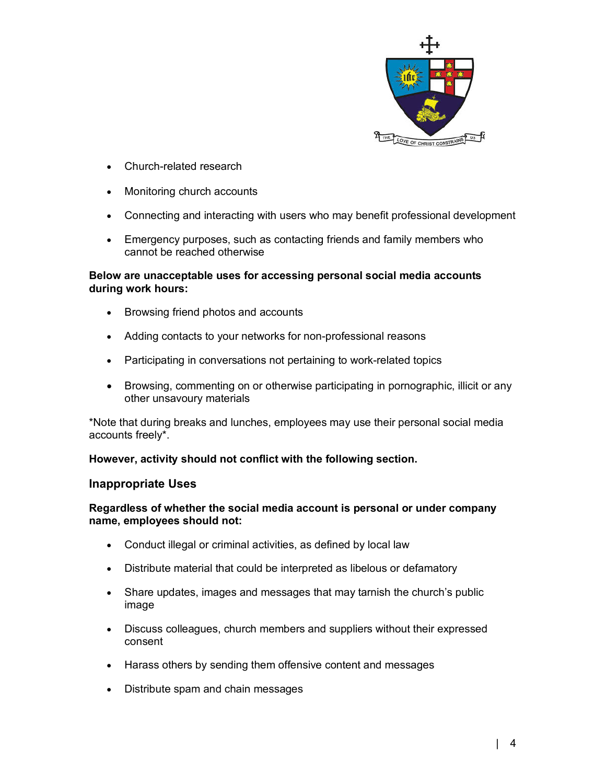

- Church-related research
- Monitoring church accounts
- Connecting and interacting with users who may benefit professional development
- Emergency purposes, such as contacting friends and family members who cannot be reached otherwise

### **Below are unacceptable uses for accessing personal social media accounts during work hours:**

- Browsing friend photos and accounts
- Adding contacts to your networks for non-professional reasons
- Participating in conversations not pertaining to work-related topics
- Browsing, commenting on or otherwise participating in pornographic, illicit or any other unsavoury materials

\*Note that during breaks and lunches, employees may use their personal social media accounts freely\*.

**However, activity should not conflict with the following section.** 

#### **Inappropriate Uses**

#### **Regardless of whether the social media account is personal or under company name, employees should not:**

- Conduct illegal or criminal activities, as defined by local law
- Distribute material that could be interpreted as libelous or defamatory
- Share updates, images and messages that may tarnish the church's public image
- Discuss colleagues, church members and suppliers without their expressed consent
- Harass others by sending them offensive content and messages
- Distribute spam and chain messages